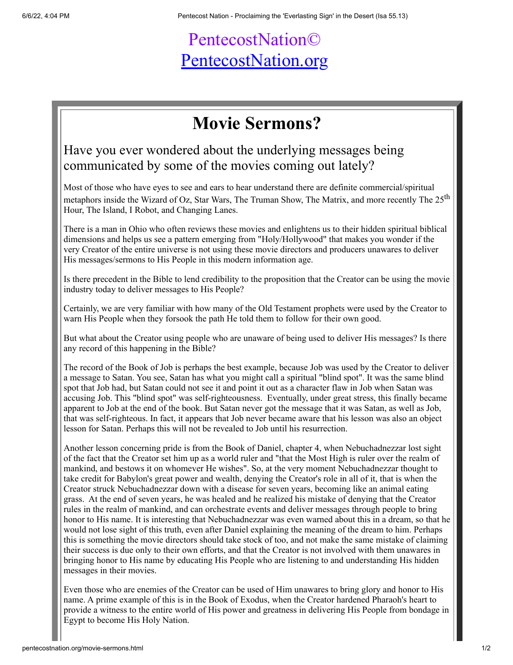## PentecostNation© [PentecostNation.org](http://pentecostnation.org/)

## **Movie Sermons?**

Have you ever wondered about the underlying messages being communicated by some of the movies coming out lately?

Most of those who have eyes to see and ears to hear understand there are definite commercial/spiritual metaphors inside the Wizard of Oz, Star Wars, The Truman Show, The Matrix, and more recently The 25<sup>th</sup> Hour, The Island, I Robot, and Changing Lanes.

There is a man in Ohio who often reviews these movies and enlightens us to their hidden spiritual biblical dimensions and helps us see a pattern emerging from "Holy/Hollywood" that makes you wonder if the very Creator of the entire universe is not using these movie directors and producers unawares to deliver His messages/sermons to His People in this modern information age.

Is there precedent in the Bible to lend credibility to the proposition that the Creator can be using the movie industry today to deliver messages to His People?

Certainly, we are very familiar with how many of the Old Testament prophets were used by the Creator to warn His People when they forsook the path He told them to follow for their own good.

But what about the Creator using people who are unaware of being used to deliver His messages? Is there any record of this happening in the Bible?

The record of the Book of Job is perhaps the best example, because Job was used by the Creator to deliver a message to Satan. You see, Satan has what you might call a spiritual "blind spot". It was the same blind spot that Job had, but Satan could not see it and point it out as a character flaw in Job when Satan was accusing Job. This "blind spot" was self-righteousness. Eventually, under great stress, this finally became apparent to Job at the end of the book. But Satan never got the message that it was Satan, as well as Job, that was self-righteous. In fact, it appears that Job never became aware that his lesson was also an object lesson for Satan. Perhaps this will not be revealed to Job until his resurrection.

Another lesson concerning pride is from the Book of Daniel, chapter 4, when Nebuchadnezzar lost sight of the fact that the Creator set him up as a world ruler and "that the Most High is ruler over the realm of mankind, and bestows it on whomever He wishes". So, at the very moment Nebuchadnezzar thought to take credit for Babylon's great power and wealth, denying the Creator's role in all of it, that is when the Creator struck Nebuchadnezzar down with a disease for seven years, becoming like an animal eating grass. At the end of seven years, he was healed and he realized his mistake of denying that the Creator rules in the realm of mankind, and can orchestrate events and deliver messages through people to bring honor to His name. It is interesting that Nebuchadnezzar was even warned about this in a dream, so that he would not lose sight of this truth, even after Daniel explaining the meaning of the dream to him. Perhaps this is something the movie directors should take stock of too, and not make the same mistake of claiming their success is due only to their own efforts, and that the Creator is not involved with them unawares in bringing honor to His name by educating His People who are listening to and understanding His hidden messages in their movies.

Even those who are enemies of the Creator can be used of Him unawares to bring glory and honor to His name. A prime example of this is in the Book of Exodus, when the Creator hardened Pharaoh's heart to provide a witness to the entire world of His power and greatness in delivering His People from bondage in Egypt to become His Holy Nation.